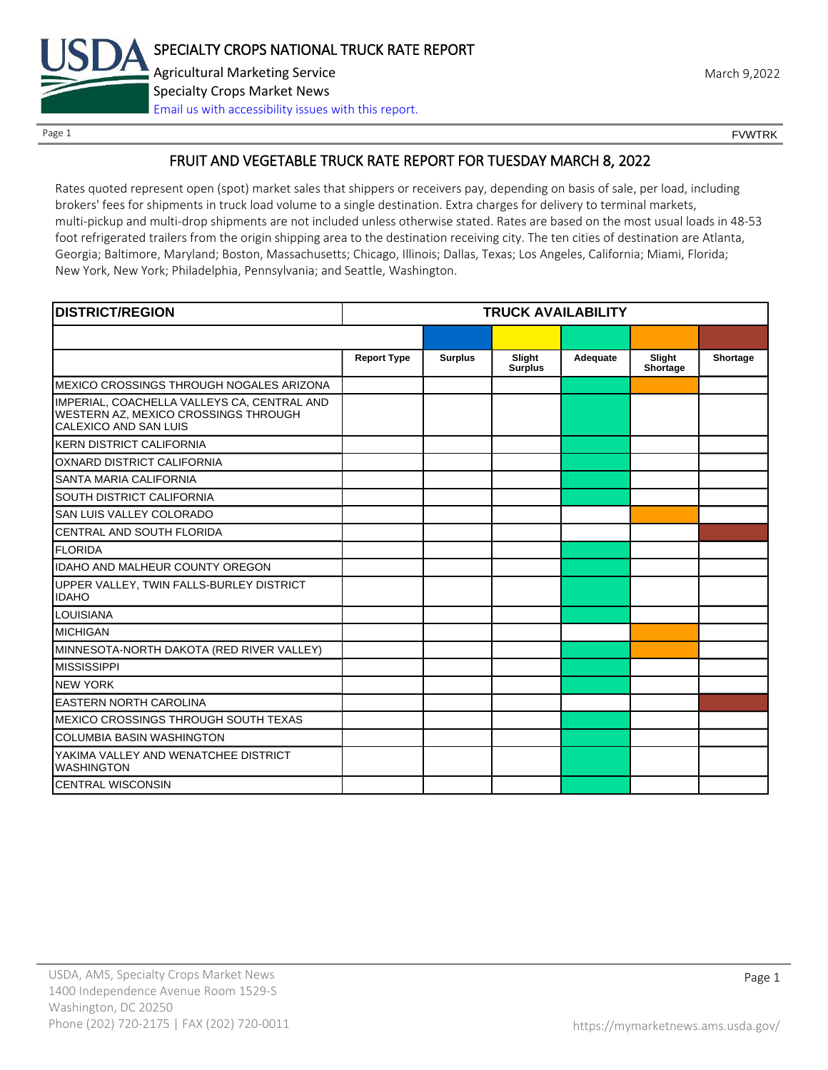

Page 1 FOUNTRK CONTROL CONTROL CONTROL CONTROL CONTROL CONTROL CONTROL CONTROL CONTROL CONTROL CONTROL CONTROL CONTROL CONTROL CONTROL CONTROL CONTROL CONTROL CONTROL CONTROL CONTROL CONTROL CONTROL CONTROL CONTROL CONTROL

# FRUIT AND VEGETABLE TRUCK RATE REPORT FOR TUESDAY MARCH 8, 2022

Rates quoted represent open (spot) market sales that shippers or receivers pay, depending on basis of sale, per load, including brokers' fees for shipments in truck load volume to a single destination. Extra charges for delivery to terminal markets, multi-pickup and multi-drop shipments are not included unless otherwise stated. Rates are based on the most usual loads in 48-53 foot refrigerated trailers from the origin shipping area to the destination receiving city. The ten cities of destination are Atlanta, Georgia; Baltimore, Maryland; Boston, Massachusetts; Chicago, Illinois; Dallas, Texas; Los Angeles, California; Miami, Florida; New York, New York; Philadelphia, Pennsylvania; and Seattle, Washington.

| <b>DISTRICT/REGION</b>                                                                                       |                    | <b>TRUCK AVAILABILITY</b> |                          |          |                    |          |
|--------------------------------------------------------------------------------------------------------------|--------------------|---------------------------|--------------------------|----------|--------------------|----------|
|                                                                                                              |                    |                           |                          |          |                    |          |
|                                                                                                              | <b>Report Type</b> | <b>Surplus</b>            | Slight<br><b>Surplus</b> | Adequate | Slight<br>Shortage | Shortage |
| IMEXICO CROSSINGS THROUGH NOGALES ARIZONA                                                                    |                    |                           |                          |          |                    |          |
| IMPERIAL, COACHELLA VALLEYS CA, CENTRAL AND<br>WESTERN AZ, MEXICO CROSSINGS THROUGH<br>CALEXICO AND SAN LUIS |                    |                           |                          |          |                    |          |
| IKERN DISTRICT CALIFORNIA                                                                                    |                    |                           |                          |          |                    |          |
| OXNARD DISTRICT CALIFORNIA                                                                                   |                    |                           |                          |          |                    |          |
| <b>SANTA MARIA CALIFORNIA</b>                                                                                |                    |                           |                          |          |                    |          |
| <b>SOUTH DISTRICT CALIFORNIA</b>                                                                             |                    |                           |                          |          |                    |          |
| <b>SAN LUIS VALLEY COLORADO</b>                                                                              |                    |                           |                          |          |                    |          |
| CENTRAL AND SOUTH FLORIDA                                                                                    |                    |                           |                          |          |                    |          |
| FLORIDA                                                                                                      |                    |                           |                          |          |                    |          |
| <b>IDAHO AND MALHEUR COUNTY OREGON</b>                                                                       |                    |                           |                          |          |                    |          |
| UPPER VALLEY, TWIN FALLS-BURLEY DISTRICT<br><b>IDAHO</b>                                                     |                    |                           |                          |          |                    |          |
| <b>LOUISIANA</b>                                                                                             |                    |                           |                          |          |                    |          |
| <b>MICHIGAN</b>                                                                                              |                    |                           |                          |          |                    |          |
| MINNESOTA-NORTH DAKOTA (RED RIVER VALLEY)                                                                    |                    |                           |                          |          |                    |          |
| <b>MISSISSIPPI</b>                                                                                           |                    |                           |                          |          |                    |          |
| <b>NEW YORK</b>                                                                                              |                    |                           |                          |          |                    |          |
| <b>EASTERN NORTH CAROLINA</b>                                                                                |                    |                           |                          |          |                    |          |
| <b>MEXICO CROSSINGS THROUGH SOUTH TEXAS</b>                                                                  |                    |                           |                          |          |                    |          |
| <b>COLUMBIA BASIN WASHINGTON</b>                                                                             |                    |                           |                          |          |                    |          |
| YAKIMA VALLEY AND WENATCHEE DISTRICT<br><b>WASHINGTON</b>                                                    |                    |                           |                          |          |                    |          |
| <b>CENTRAL WISCONSIN</b>                                                                                     |                    |                           |                          |          |                    |          |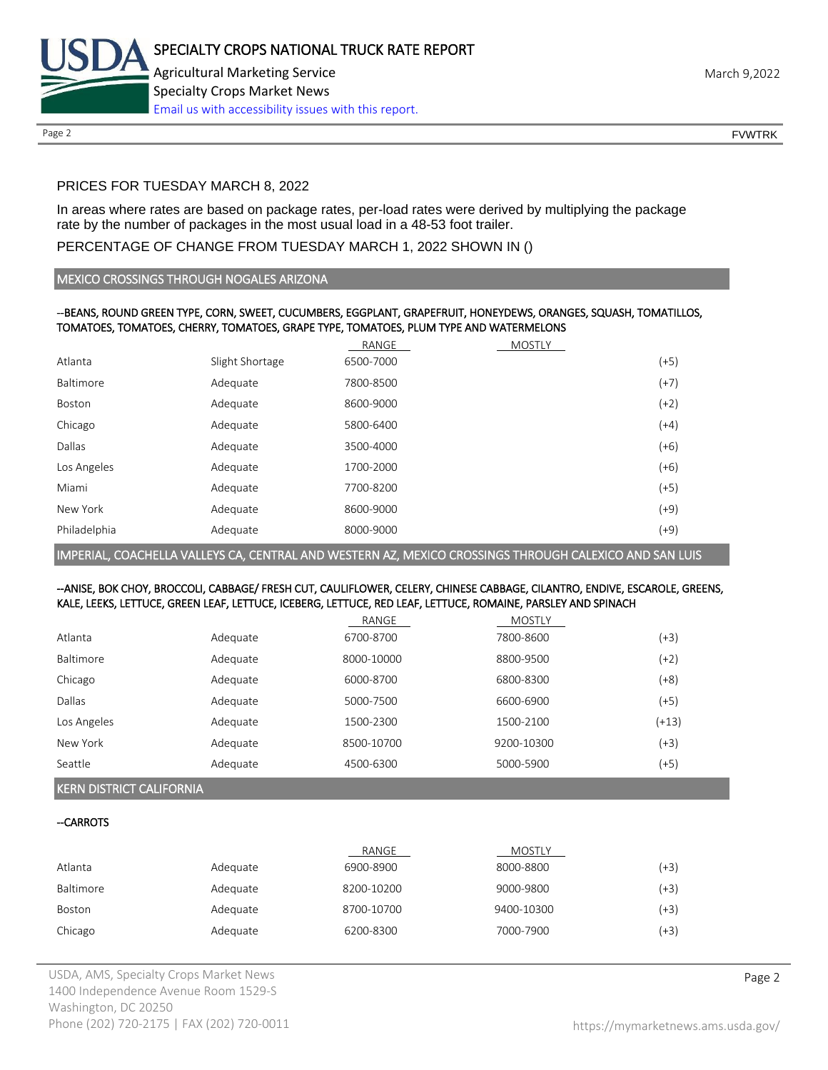

# PRICES FOR TUESDAY MARCH 8, 2022

In areas where rates are based on package rates, per-load rates were derived by multiplying the package rate by the number of packages in the most usual load in a 48-53 foot trailer.

## PERCENTAGE OF CHANGE FROM TUESDAY MARCH 1, 2022 SHOWN IN ()

#### MEXICO CROSSINGS THROUGH NOGALES ARIZONA

### --BEANS, ROUND GREEN TYPE, CORN, SWEET, CUCUMBERS, EGGPLANT, GRAPEFRUIT, HONEYDEWS, ORANGES, SQUASH, TOMATILLOS, TOMATOES, TOMATOES, CHERRY, TOMATOES, GRAPE TYPE, TOMATOES, PLUM TYPE AND WATERMELONS

|              |                 | RANGE     | <b>MOSTLY</b> |        |
|--------------|-----------------|-----------|---------------|--------|
| Atlanta      | Slight Shortage | 6500-7000 |               | $(+5)$ |
| Baltimore    | Adequate        | 7800-8500 |               | $(+7)$ |
| Boston       | Adequate        | 8600-9000 |               | $(+2)$ |
| Chicago      | Adequate        | 5800-6400 |               | $(+4)$ |
| Dallas       | Adequate        | 3500-4000 |               | (+6)   |
| Los Angeles  | Adequate        | 1700-2000 |               | (+6)   |
| Miami        | Adequate        | 7700-8200 |               | (+5)   |
| New York     | Adequate        | 8600-9000 |               | (+9)   |
| Philadelphia | Adequate        | 8000-9000 |               | (+9)   |

IMPERIAL, COACHELLA VALLEYS CA, CENTRAL AND WESTERN AZ, MEXICO CROSSINGS THROUGH CALEXICO AND SAN LUIS

#### --ANISE, BOK CHOY, BROCCOLI, CABBAGE/ FRESH CUT, CAULIFLOWER, CELERY, CHINESE CABBAGE, CILANTRO, ENDIVE, ESCAROLE, GREENS, KALE, LEEKS, LETTUCE, GREEN LEAF, LETTUCE, ICEBERG, LETTUCE, RED LEAF, LETTUCE, ROMAINE, PARSLEY AND SPINACH

|             |          | RANGE      | <b>MOSTLY</b> |         |
|-------------|----------|------------|---------------|---------|
| Atlanta     | Adequate | 6700-8700  | 7800-8600     | (+3)    |
| Baltimore   | Adequate | 8000-10000 | 8800-9500     | (+2)    |
| Chicago     | Adequate | 6000-8700  | 6800-8300     | (+8)    |
| Dallas      | Adequate | 5000-7500  | 6600-6900     | (+5)    |
| Los Angeles | Adequate | 1500-2300  | 1500-2100     | $(+13)$ |
| New York    | Adequate | 8500-10700 | 9200-10300    | (+3)    |
| Seattle     | Adequate | 4500-6300  | 5000-5900     | $(+5)$  |

#### KERN DISTRICT CALIFORNIA

# --CARROTS

|           |          | RANGE      | <b>MOSTLY</b> |        |
|-----------|----------|------------|---------------|--------|
| Atlanta   | Adequate | 6900-8900  | 8000-8800     | (+3)   |
| Baltimore | Adequate | 8200-10200 | 9000-9800     | $(+3)$ |
| Boston    | Adequate | 8700-10700 | 9400-10300    | $(+3)$ |
| Chicago   | Adequate | 6200-8300  | 7000-7900     | (+3)   |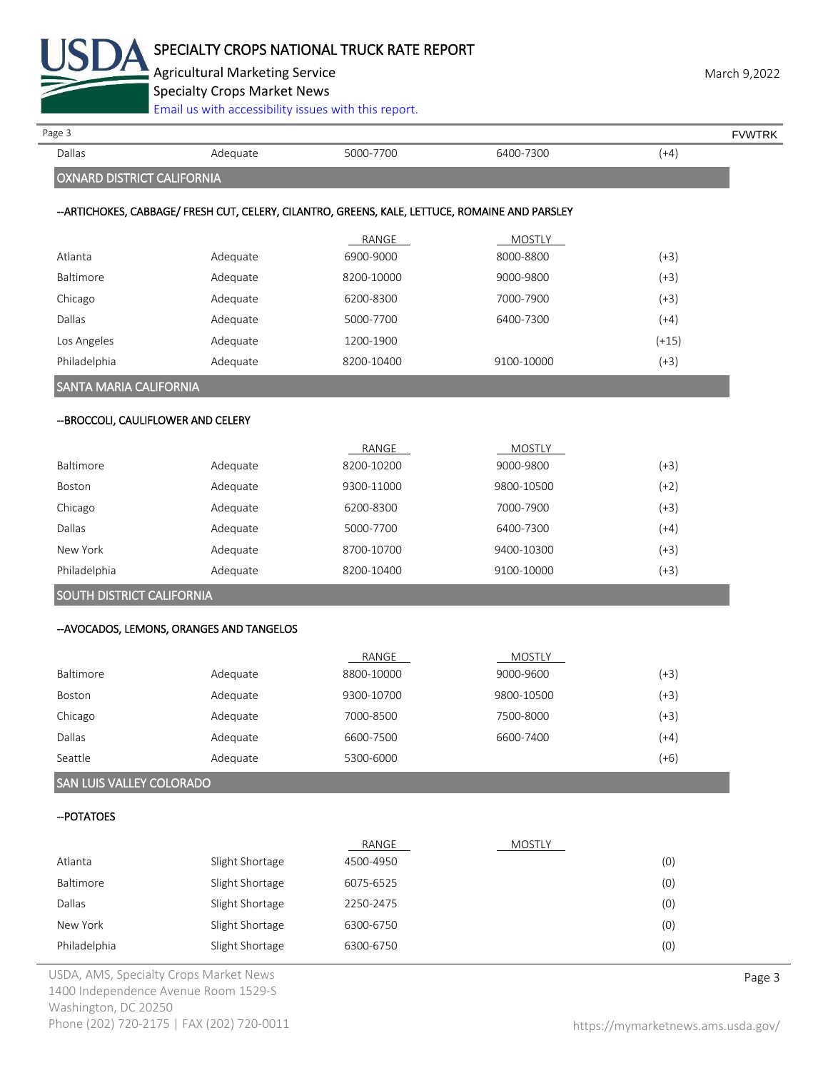

Agricultural Marketing Service **March 9,2022** March 9,2022

Specialty Crops Market News

|                                     | Email us with accessibility issues with this report.                                           |            |               |         |               |
|-------------------------------------|------------------------------------------------------------------------------------------------|------------|---------------|---------|---------------|
| Page 3                              |                                                                                                |            |               |         | <b>FVWTRK</b> |
| Dallas                              | Adequate                                                                                       | 5000-7700  | 6400-7300     | $(+4)$  |               |
| OXNARD DISTRICT CALIFORNIA          |                                                                                                |            |               |         |               |
|                                     | --ARTICHOKES, CABBAGE/ FRESH CUT, CELERY, CILANTRO, GREENS, KALE, LETTUCE, ROMAINE AND PARSLEY |            |               |         |               |
|                                     |                                                                                                | RANGE      | MOSTLY        |         |               |
| Atlanta                             | Adequate                                                                                       | 6900-9000  | 8000-8800     | $(+3)$  |               |
| Baltimore                           | Adequate                                                                                       | 8200-10000 | 9000-9800     | $(+3)$  |               |
| Chicago                             | Adequate                                                                                       | 6200-8300  | 7000-7900     | $(+3)$  |               |
| Dallas                              | Adequate                                                                                       | 5000-7700  | 6400-7300     | $(+4)$  |               |
| Los Angeles                         | Adequate                                                                                       | 1200-1900  |               | $(+15)$ |               |
| Philadelphia                        | Adequate                                                                                       | 8200-10400 | 9100-10000    | $(+3)$  |               |
| SANTA MARIA CALIFORNIA              |                                                                                                |            |               |         |               |
| -- BROCCOLI, CAULIFLOWER AND CELERY |                                                                                                |            |               |         |               |
|                                     |                                                                                                | RANGE      | <b>MOSTLY</b> |         |               |
| Baltimore                           | Adequate                                                                                       | 8200-10200 | 9000-9800     | $(+3)$  |               |
| Boston                              | Adequate                                                                                       | 9300-11000 | 9800-10500    | $(+2)$  |               |
| Chicago                             | Adequate                                                                                       | 6200-8300  | 7000-7900     | $(+3)$  |               |
| Dallas                              | Adequate                                                                                       | 5000-7700  | 6400-7300     | $(+4)$  |               |
| New York                            | Adequate                                                                                       | 8700-10700 | 9400-10300    | $(+3)$  |               |
| Philadelphia                        | Adequate                                                                                       | 8200-10400 | 9100-10000    | $(+3)$  |               |
| SOUTH DISTRICT CALIFORNIA           |                                                                                                |            |               |         |               |
|                                     | -- AVOCADOS, LEMONS, ORANGES AND TANGELOS                                                      |            |               |         |               |
|                                     |                                                                                                | RANGE      | <b>MOSTLY</b> |         |               |
| Baltimore                           | Adequate                                                                                       | 8800-10000 | 9000-9600     | $(+3)$  |               |
| Boston                              | Adequate                                                                                       | 9300-10700 | 9800-10500    | $(+3)$  |               |
| Chicago                             | Adequate                                                                                       | 7000-8500  | 7500-8000     | $(+3)$  |               |
| Dallas                              | Adequate                                                                                       | 6600-7500  | 6600-7400     | $(+4)$  |               |
| Seattle                             | Adequate                                                                                       | 5300-6000  |               | $(+6)$  |               |
| SAN LUIS VALLEY COLORADO            |                                                                                                |            |               |         |               |
| -- POTATOES                         |                                                                                                |            |               |         |               |
|                                     |                                                                                                | RANGE      | <b>MOSTLY</b> |         |               |
| Atlanta                             | Slight Shortage                                                                                | 4500-4950  |               | (0)     |               |
| Baltimore                           | Slight Shortage                                                                                | 6075-6525  |               | (0)     |               |
| Dallas                              | Slight Shortage                                                                                | 2250-2475  |               | (0)     |               |
| New York                            | Slight Shortage                                                                                | 6300-6750  |               | (0)     |               |

Philadelphia Slight Shortage 6300-6750 6300-6750 (0)

USDA, AMS, Specialty Crops Market News **Page 3** 1400 Independence Avenue Room 1529-S Washington, DC 20250 Phone (202) 720-2175 | FAX (202) 720-0011 <https://mymarketnews.ams.usda.gov/>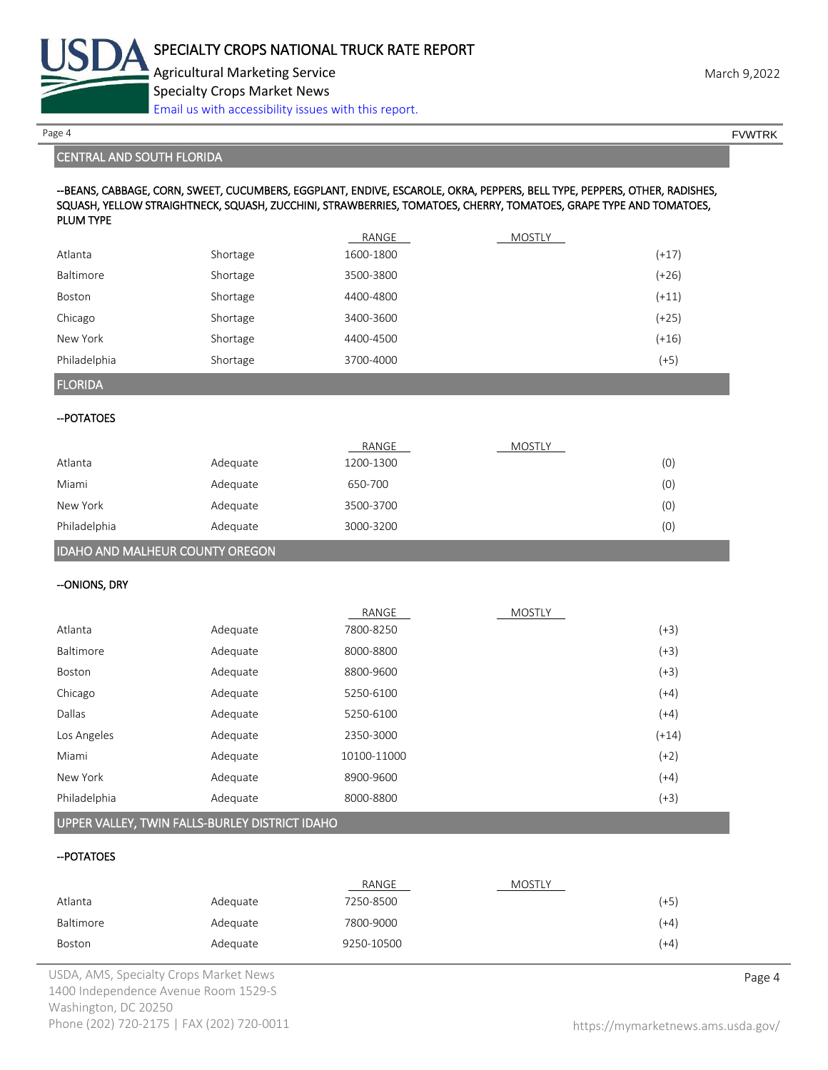

Page 4 FOUNTRK And the set of the set of the set of the set of the set of the set of the set of the set of the set of the set of the set of the set of the set of the set of the set of the set of the set of the set of the s

# CENTRAL AND SOUTH FLORIDA

# --BEANS, CABBAGE, CORN, SWEET, CUCUMBERS, EGGPLANT, ENDIVE, ESCAROLE, OKRA, PEPPERS, BELL TYPE, PEPPERS, OTHER, RADISHES, SQUASH, YELLOW STRAIGHTNECK, SQUASH, ZUCCHINI, STRAWBERRIES, TOMATOES, CHERRY, TOMATOES, GRAPE TYPE AND TOMATOES, PLUM TYPE

|              |          | RANGE     | <b>MOSTLY</b> |         |
|--------------|----------|-----------|---------------|---------|
| Atlanta      | Shortage | 1600-1800 |               | $(+17)$ |
| Baltimore    | Shortage | 3500-3800 |               | $(+26)$ |
| Boston       | Shortage | 4400-4800 |               | $(+11)$ |
| Chicago      | Shortage | 3400-3600 |               | $(+25)$ |
| New York     | Shortage | 4400-4500 |               | $(+16)$ |
| Philadelphia | Shortage | 3700-4000 |               | $(+5)$  |
| _______      |          |           |               |         |

FLORIDA

#### --POTATOES

|              |          | RANGE     | <b>MOSTLY</b> |     |
|--------------|----------|-----------|---------------|-----|
| Atlanta      | Adequate | 1200-1300 |               | (0) |
| Miami        | Adequate | 650-700   |               | (0) |
| New York     | Adequate | 3500-3700 |               | (0) |
| Philadelphia | Adequate | 3000-3200 |               | (0) |

# IDAHO AND MALHEUR COUNTY OREGON

--ONIONS, DRY

|              |          | RANGE       | <b>MOSTLY</b> |         |
|--------------|----------|-------------|---------------|---------|
| Atlanta      | Adequate | 7800-8250   |               | $(+3)$  |
| Baltimore    | Adequate | 8000-8800   |               | $(+3)$  |
| Boston       | Adequate | 8800-9600   |               | $(+3)$  |
| Chicago      | Adequate | 5250-6100   |               | $(+4)$  |
| Dallas       | Adequate | 5250-6100   |               | $(+4)$  |
| Los Angeles  | Adequate | 2350-3000   |               | $(+14)$ |
| Miami        | Adequate | 10100-11000 |               | $(+2)$  |
| New York     | Adequate | 8900-9600   |               | $(+4)$  |
| Philadelphia | Adequate | 8000-8800   |               | $(+3)$  |

# UPPER VALLEY, TWIN FALLS-BURLEY DISTRICT IDAHO

# --POTATOES

|           |          | RANGE      | <b>MOSTLY</b> |        |
|-----------|----------|------------|---------------|--------|
| Atlanta   | Adequate | 7250-8500  |               | (+5)   |
| Baltimore | Adequate | 7800-9000  |               | $(+4)$ |
| Boston    | Adequate | 9250-10500 |               | (+4)   |

USDA, AMS, Specialty Crops Market News **Page 4** 1400 Independence Avenue Room 1529-S Washington, DC 20250 Phone (202) 720-2175 | FAX (202) 720-0011 <https://mymarketnews.ams.usda.gov/>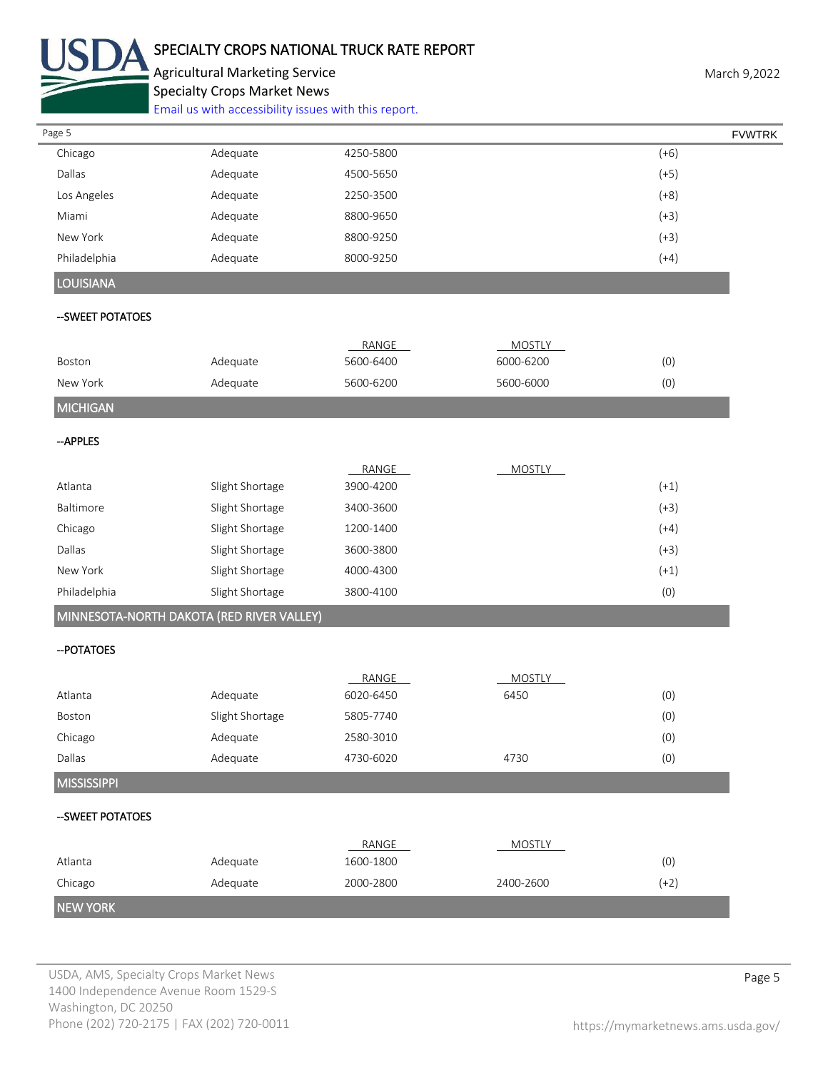

Agricultural Marketing Service **March 9,2022** March 9,2022 Specialty Crops Market News

[Email us with accessibility issues with this report.](mailto:mars@ams.usda.gov?subject=508%20Inquiry/Report)

| Page 5           |          |           |               | <b>FVWTRK</b> |
|------------------|----------|-----------|---------------|---------------|
| Chicago          | Adequate | 4250-5800 |               | $(+6)$        |
| Dallas           | Adequate | 4500-5650 |               | $(+5)$        |
| Los Angeles      | Adequate | 2250-3500 |               | $(+8)$        |
| Miami            | Adequate | 8800-9650 |               | $(+3)$        |
| New York         | Adequate | 8800-9250 |               | $(+3)$        |
| Philadelphia     | Adequate | 8000-9250 |               | $(+4)$        |
| <b>LOUISIANA</b> |          |           |               |               |
| --SWEET POTATOES |          |           |               |               |
|                  |          | RANGE     | <b>MOSTLY</b> |               |
| Boston           | Adequate | 5600-6400 | 6000-6200     | (0)           |
| New York         | Adequate | 5600-6200 | 5600-6000     | (0)           |
| MICHIGAN         |          |           |               |               |
| --APPLES         |          |           |               |               |
|                  |          |           |               |               |
|                  |          | RANGE     | <b>MOSTLY</b> |               |

| Slight Shortage | $(+1)$                                                                     |
|-----------------|----------------------------------------------------------------------------|
| Slight Shortage | $(+3)$                                                                     |
| Slight Shortage | $(+4)$                                                                     |
| Slight Shortage | $(+3)$                                                                     |
| Slight Shortage | $(+1)$                                                                     |
| Slight Shortage | (0)                                                                        |
|                 | 3900-4200<br>3400-3600<br>1200-1400<br>3600-3800<br>4000-4300<br>3800-4100 |

MINNESOTA-NORTH DAKOTA (RED RIVER VALLEY)

# --POTATOES

|                    |                 | RANGE     | <b>MOSTLY</b> |        |
|--------------------|-----------------|-----------|---------------|--------|
| Atlanta            | Adequate        | 6020-6450 | 6450          | (0)    |
| Boston             | Slight Shortage | 5805-7740 |               | (0)    |
| Chicago            | Adequate        | 2580-3010 |               | (0)    |
| Dallas             | Adequate        | 4730-6020 | 4730          | (0)    |
| <b>MISSISSIPPI</b> |                 |           |               |        |
| --SWEET POTATOES   |                 |           |               |        |
|                    |                 | RANGE     | <b>MOSTLY</b> |        |
| Atlanta            | Adequate        | 1600-1800 |               | (0)    |
| Chicago            | Adequate        | 2000-2800 | 2400-2600     | $(+2)$ |
| <b>NEW YORK</b>    |                 |           |               |        |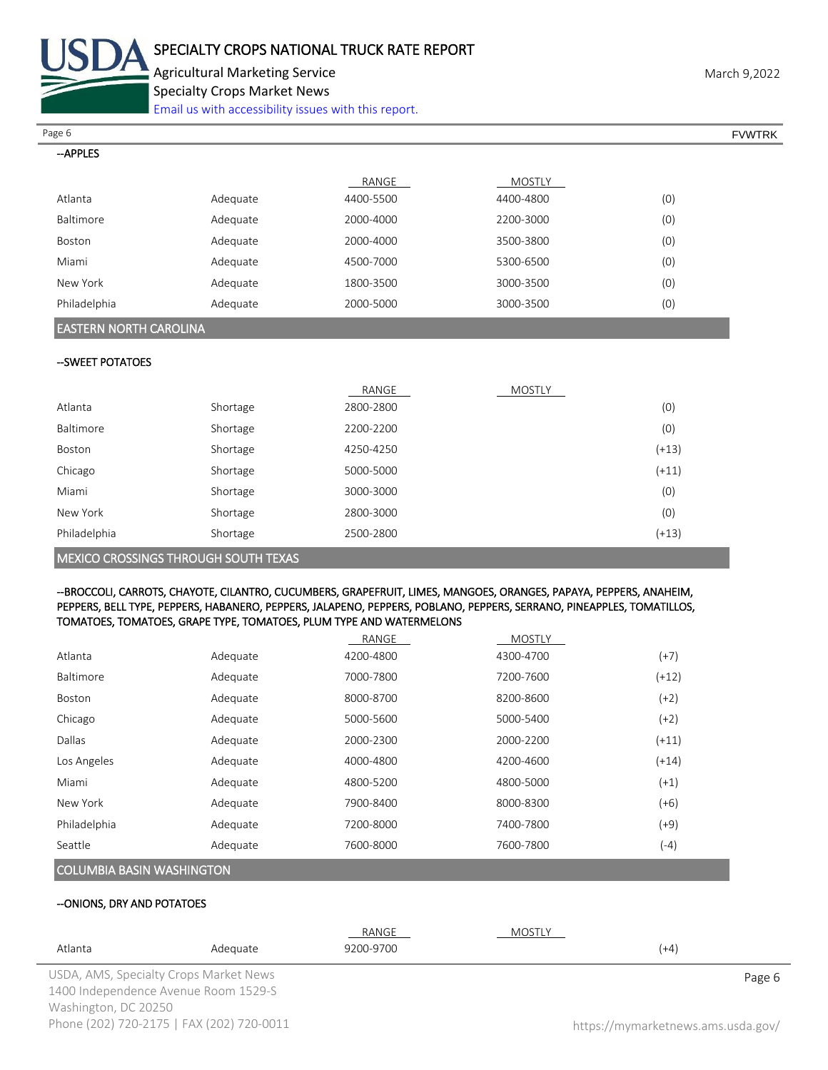

Agricultural Marketing Service **March 9,2022** March 9,2022

Specialty Crops Market News

[Email us with accessibility issues with this report.](mailto:mars@ams.usda.gov?subject=508%20Inquiry/Report)

Page 6 FVWTRK

# --APPLES

|               |          | RANGE     | MOSTLY    |     |
|---------------|----------|-----------|-----------|-----|
| Atlanta       | Adequate | 4400-5500 | 4400-4800 | (0) |
| Baltimore     | Adequate | 2000-4000 | 2200-3000 | (0) |
| <b>Boston</b> | Adequate | 2000-4000 | 3500-3800 | (0) |
| Miami         | Adequate | 4500-7000 | 5300-6500 | (0) |
| New York      | Adequate | 1800-3500 | 3000-3500 | (0) |
| Philadelphia  | Adequate | 2000-5000 | 3000-3500 | (0) |

# EASTERN NORTH CAROLINA

## --SWEET POTATOES

|                                      |          | RANGE     | <b>MOSTLY</b> |         |
|--------------------------------------|----------|-----------|---------------|---------|
| Atlanta                              | Shortage | 2800-2800 |               | (0)     |
| Baltimore                            | Shortage | 2200-2200 |               | (0)     |
| Boston                               | Shortage | 4250-4250 |               | $(+13)$ |
| Chicago                              | Shortage | 5000-5000 |               | $(+11)$ |
| Miami                                | Shortage | 3000-3000 |               | (0)     |
| New York                             | Shortage | 2800-3000 |               | (0)     |
| Philadelphia                         | Shortage | 2500-2800 |               | $(+13)$ |
| MEXICO CROSSINGS THROUGH SOUTH TEXAS |          |           |               |         |

### --BROCCOLI, CARROTS, CHAYOTE, CILANTRO, CUCUMBERS, GRAPEFRUIT, LIMES, MANGOES, ORANGES, PAPAYA, PEPPERS, ANAHEIM, PEPPERS, BELL TYPE, PEPPERS, HABANERO, PEPPERS, JALAPENO, PEPPERS, POBLANO, PEPPERS, SERRANO, PINEAPPLES, TOMATILLOS, TOMATOES, TOMATOES, GRAPE TYPE, TOMATOES, PLUM TYPE AND WATERMELONS

|                                  |          | RANGE     | <b>MOSTLY</b> |         |
|----------------------------------|----------|-----------|---------------|---------|
| Atlanta                          | Adequate | 4200-4800 | 4300-4700     | $(+7)$  |
| <b>Baltimore</b>                 | Adequate | 7000-7800 | 7200-7600     | $(+12)$ |
| <b>Boston</b>                    | Adequate | 8000-8700 | 8200-8600     | $(+2)$  |
| Chicago                          | Adequate | 5000-5600 | 5000-5400     | $(+2)$  |
| Dallas                           | Adequate | 2000-2300 | 2000-2200     | $(+11)$ |
| Los Angeles                      | Adequate | 4000-4800 | 4200-4600     | $(+14)$ |
| Miami                            | Adequate | 4800-5200 | 4800-5000     | $(+1)$  |
| New York                         | Adequate | 7900-8400 | 8000-8300     | $(+6)$  |
| Philadelphia                     | Adequate | 7200-8000 | 7400-7800     | $(+9)$  |
| Seattle                          | Adequate | 7600-8000 | 7600-7800     | $(-4)$  |
| <b>COLUMBIA BASIN WASHINGTON</b> |          |           |               |         |

# --ONIONS, DRY AND POTATOES

|                      |                                           | RANGE     | MOSTLY |                                    |
|----------------------|-------------------------------------------|-----------|--------|------------------------------------|
| Atlanta              | Adequate                                  | 9200-9700 |        | $(+4)$                             |
|                      | USDA, AMS, Specialty Crops Market News    |           |        | Page 6                             |
|                      | 1400 Independence Avenue Room 1529-S      |           |        |                                    |
| Washington, DC 20250 |                                           |           |        |                                    |
|                      | Phone (202) 720-2175   FAX (202) 720-0011 |           |        | https://mymarketnews.ams.usda.gov/ |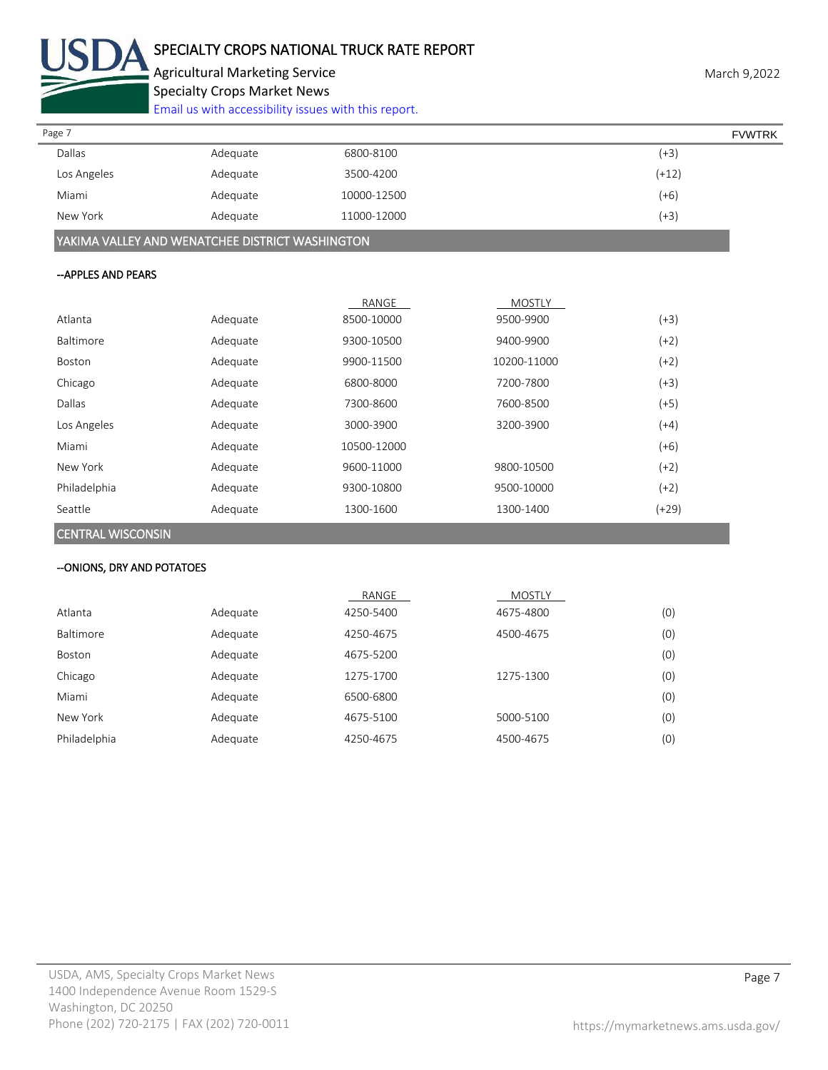

Agricultural Marketing Service **March 9,2022** March 9,2022 Specialty Crops Market News

[Email us with accessibility issues with this report.](mailto:mars@ams.usda.gov?subject=508%20Inquiry/Report)

| Page 7        |          |             | <b>FVWTRK</b> |
|---------------|----------|-------------|---------------|
| <b>Dallas</b> | Adequate | 6800-8100   | $(+3)$        |
| Los Angeles   | Adequate | 3500-4200   | $(+12)$       |
| Miami         | Adequate | 10000-12500 | $(+6)$        |
| New York      | Adequate | 11000-12000 | $(+3)$        |

YAKIMA VALLEY AND WENATCHEE DISTRICT WASHINGTON

## --APPLES AND PEARS

|              |          | RANGE       | <b>MOSTLY</b> |         |
|--------------|----------|-------------|---------------|---------|
| Atlanta      | Adequate | 8500-10000  | 9500-9900     | $(+3)$  |
| Baltimore    | Adequate | 9300-10500  | 9400-9900     | (+2)    |
| Boston       | Adequate | 9900-11500  | 10200-11000   | $(+2)$  |
| Chicago      | Adequate | 6800-8000   | 7200-7800     | (+3)    |
| Dallas       | Adequate | 7300-8600   | 7600-8500     | (+5)    |
| Los Angeles  | Adequate | 3000-3900   | 3200-3900     | (+4)    |
| Miami        | Adequate | 10500-12000 |               | $(+6)$  |
| New York     | Adequate | 9600-11000  | 9800-10500    | (+2)    |
| Philadelphia | Adequate | 9300-10800  | 9500-10000    | (+2)    |
| Seattle      | Adequate | 1300-1600   | 1300-1400     | $(+29)$ |

CENTRAL WISCONSIN

# --ONIONS, DRY AND POTATOES

|              |          | RANGE     | <b>MOSTLY</b> |     |
|--------------|----------|-----------|---------------|-----|
| Atlanta      | Adequate | 4250-5400 | 4675-4800     | (0) |
| Baltimore    | Adequate | 4250-4675 | 4500-4675     | (0) |
| Boston       | Adequate | 4675-5200 |               | (0) |
| Chicago      | Adequate | 1275-1700 | 1275-1300     | (0) |
| Miami        | Adequate | 6500-6800 |               | (0) |
| New York     | Adequate | 4675-5100 | 5000-5100     | (0) |
| Philadelphia | Adequate | 4250-4675 | 4500-4675     | (0) |